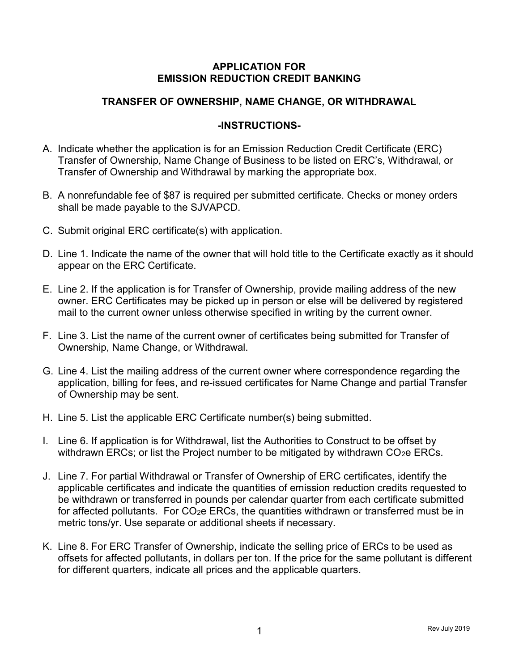## APPLICATION FOR EMISSION REDUCTION CREDIT BANKING

## TRANSFER OF OWNERSHIP, NAME CHANGE, OR WITHDRAWAL

## -INSTRUCTIONS-

- A. Indicate whether the application is for an Emission Reduction Credit Certificate (ERC) Transfer of Ownership, Name Change of Business to be listed on ERC's, Withdrawal, or Transfer of Ownership and Withdrawal by marking the appropriate box.
- B. A nonrefundable fee of \$87 is required per submitted certificate. Checks or money orders shall be made payable to the SJVAPCD.
- C. Submit original ERC certificate(s) with application.
- D. Line 1. Indicate the name of the owner that will hold title to the Certificate exactly as it should appear on the ERC Certificate.
- E. Line 2. If the application is for Transfer of Ownership, provide mailing address of the new owner. ERC Certificates may be picked up in person or else will be delivered by registered mail to the current owner unless otherwise specified in writing by the current owner.
- F. Line 3. List the name of the current owner of certificates being submitted for Transfer of Ownership, Name Change, or Withdrawal.
- G. Line 4. List the mailing address of the current owner where correspondence regarding the application, billing for fees, and re-issued certificates for Name Change and partial Transfer of Ownership may be sent.
- H. Line 5. List the applicable ERC Certificate number(s) being submitted.
- I. Line 6. If application is for Withdrawal, list the Authorities to Construct to be offset by withdrawn ERCs; or list the Project number to be mitigated by withdrawn CO<sub>2</sub>e ERCs.
- J. Line 7. For partial Withdrawal or Transfer of Ownership of ERC certificates, identify the applicable certificates and indicate the quantities of emission reduction credits requested to be withdrawn or transferred in pounds per calendar quarter from each certificate submitted for affected pollutants. For CO<sub>2</sub>e ERCs, the quantities withdrawn or transferred must be in metric tons/yr. Use separate or additional sheets if necessary.
- K. Line 8. For ERC Transfer of Ownership, indicate the selling price of ERCs to be used as offsets for affected pollutants, in dollars per ton. If the price for the same pollutant is different for different quarters, indicate all prices and the applicable quarters.